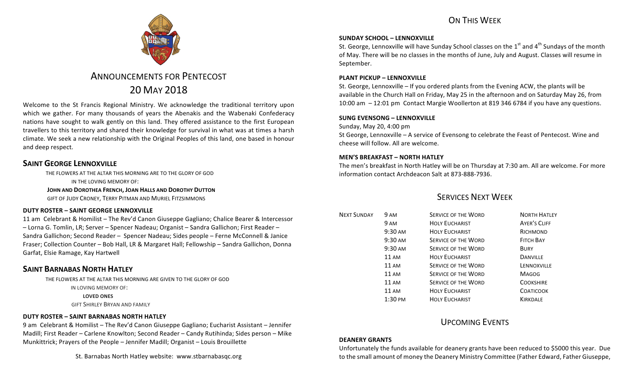# ON THIS WFFK



# ANNOUNCEMENTS FOR PENTECOST 20 MAY 2018

Welcome to the St Francis Regional Ministry. We acknowledge the traditional territory upon which we gather. For many thousands of years the Abenakis and the Wabenaki Confederacy nations have sought to walk gently on this land. They offered assistance to the first European travellers to this territory and shared their knowledge for survival in what was at times a harsh climate. We seek a new relationship with the Original Peoples of this land, one based in honour and deep respect.

# **SAINT GEORGE LENNOXVILLE**

THE FLOWERS AT THE ALTAR THIS MORNING ARE TO THE GLORY OF GOD IN THE LOVING MEMORY OF: **JOHN AND DOROTHEA FRENCH, JOAN HALLS AND DOROTHY DUTTON** GIFT OF JUDY CRONEY, TERRY PITMAN AND MURIEL FITZSIMMONS

### **DUTY ROSTER – SAINT GEORGE LENNOXVILLE**

11 am Celebrant & Homilist – The Rev'd Canon Giuseppe Gagliano; Chalice Bearer & Intercessor – Lorna G. Tomlin, LR; Server – Spencer Nadeau; Organist – Sandra Gallichon; First Reader – Sandra Gallichon; Second Reader - Spencer Nadeau; Sides people - Ferne McConnell & Janice Fraser; Collection Counter - Bob Hall, LR & Margaret Hall; Fellowship - Sandra Gallichon, Donna Garfat, Elsie Ramage, Kay Hartwell

# **SAINT BARNABAS NORTH HATLEY**

THE FLOWERS AT THE ALTAR THIS MORNING ARE GIVEN TO THE GLORY OF GOD

IN LOVING MEMORY OF:

**LOVED ONES** 

**GIFT SHIRLEY BRYAN AND FAMILY** 

## **DUTY ROSTER – SAINT BARNABAS NORTH HATLEY**

9 am Celebrant & Homilist – The Rev'd Canon Giuseppe Gagliano; Eucharist Assistant – Jennifer Madill; First Reader – Carlene Knowlton; Second Reader – Candy Rutihinda; Sides person – Mike Munkittrick; Prayers of the People - Jennifer Madill; Organist - Louis Brouillette

St. Barnabas North Hatley website: www.stbarnabasqc.org

### **SUNDAY SCHOOL – LENNOXVILLE**

St. George, Lennoxville will have Sunday School classes on the  $1<sup>st</sup>$  and  $4<sup>th</sup>$  Sundays of the month of May. There will be no classes in the months of June, July and August. Classes will resume in September.

### **PLANT PICKUP - LENNOXVILLE**

St. George, Lennoxville – If you ordered plants from the Evening ACW, the plants will be available in the Church Hall on Friday, May 25 in the afternoon and on Saturday May 26, from 10:00 am – 12:01 pm Contact Margie Woollerton at 819 346 6784 if you have any questions.

### **SUNG EVENSONG – LENNOXVILLE**

Sunday, May 20, 4:00 pm

St George, Lennoxville – A service of Evensong to celebrate the Feast of Pentecost. Wine and cheese will follow. All are welcome.

### **MEN'S BREAKFAST – NORTH HATLEY**

The men's breakfast in North Hatley will be on Thursday at 7:30 am. All are welcome. For more information contact Archdeacon Salt at 873-888-7936.

# SERVICES NEXT WEEK

| <b>NEXT SUNDAY</b> | 9 AM               | <b>SERVICE OF THE WORD</b> | <b>NORTH HATLEY</b> |
|--------------------|--------------------|----------------------------|---------------------|
|                    | 9 AM               | <b>HOLY EUCHARIST</b>      | <b>AYER'S CLIFF</b> |
|                    | 9:30 AM            | <b>HOLY EUCHARIST</b>      | RICHMOND            |
|                    | 9:30 AM            | <b>SERVICE OF THE WORD</b> | <b>FITCH BAY</b>    |
|                    | 9:30 AM            | <b>SERVICE OF THE WORD</b> | <b>BURY</b>         |
|                    | <b>11 AM</b>       | <b>HOLY EUCHARIST</b>      | <b>DANVILLE</b>     |
|                    | $11 \text{ AM}$    | <b>SERVICE OF THE WORD</b> | LENNOXVILLE         |
|                    | 11 AM              | <b>SERVICE OF THE WORD</b> | <b>MAGOG</b>        |
|                    | <b>11 AM</b>       | <b>SERVICE OF THE WORD</b> | <b>COOKSHIRE</b>    |
|                    | <b>11 AM</b>       | <b>HOLY EUCHARIST</b>      | <b>COATICOOK</b>    |
|                    | $1:30 \text{ }$ PM | <b>HOLY EUCHARIST</b>      | KIRKDALE            |
|                    |                    |                            |                     |

# UPCOMING EVENTS

### **DEANERY GRANTS**

Unfortunately the funds available for deanery grants have been reduced to \$5000 this year. Due to the small amount of money the Deanery Ministry Committee (Father Edward, Father Giuseppe,